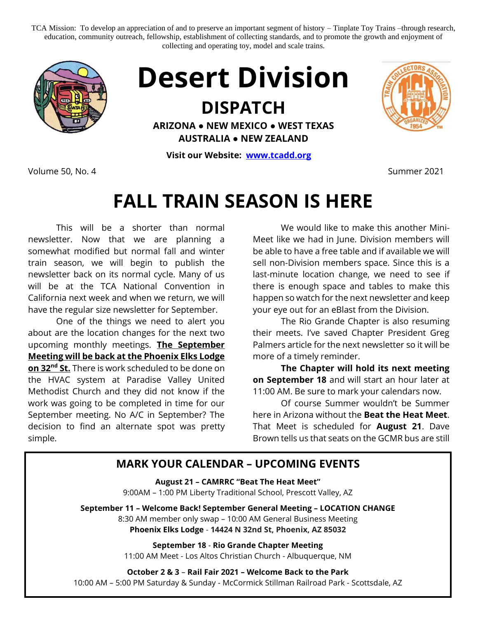TCA Mission: To develop an appreciation of and to preserve an important segment of history – Tinplate Toy Trains –through research, education, community outreach, fellowship, establishment of collecting standards, and to promote the growth and enjoyment of collecting and operating toy, model and scale trains.





## **DISPATCH**

**ARIZONA ● NEW MEXICO ● WEST TEXAS AUSTRALIA ● NEW ZEALAND**

**Visit our Website: [www.tcadd.org](http://www.tcadd.org/)**

Volume 50, No. 4 Summer 2021

## **FALL TRAIN SEASON IS HERE**

This will be a shorter than normal newsletter. Now that we are planning a somewhat modified but normal fall and winter train season, we will begin to publish the newsletter back on its normal cycle. Many of us will be at the TCA National Convention in California next week and when we return, we will have the regular size newsletter for September.

One of the things we need to alert you about are the location changes for the next two upcoming monthly meetings. **The September Meeting will be back at the Phoenix Elks Lodge on 32nd St.** There is work scheduled to be done on the HVAC system at Paradise Valley United Methodist Church and they did not know if the work was going to be completed in time for our September meeting. No A/C in September? The decision to find an alternate spot was pretty simple.

We would like to make this another Mini-Meet like we had in June. Division members will be able to have a free table and if available we will sell non-Division members space. Since this is a last-minute location change, we need to see if there is enough space and tables to make this happen so watch for the next newsletter and keep your eye out for an eBlast from the Division.

The Rio Grande Chapter is also resuming their meets. I've saved Chapter President Greg Palmers article for the next newsletter so it will be more of a timely reminder.

**The Chapter will hold its next meeting on September 18** and will start an hour later at 11:00 AM. Be sure to mark your calendars now.

Of course Summer wouldn't be Summer here in Arizona without the **Beat the Heat Meet**. That Meet is scheduled for **August 21**. Dave Brown tells us that seats on the GCMR bus are still

## **MARK YOUR CALENDAR – UPCOMING EVENTS**

**August 21 – CAMRRC "Beat The Heat Meet"** 9:00AM – 1:00 PM Liberty Traditional School, Prescott Valley, AZ

**September 11 – Welcome Back! September General Meeting – LOCATION CHANGE** 8:30 AM member only swap – 10:00 AM General Business Meeting

**Phoenix Elks Lodge** - **14424 N 32nd St, Phoenix, AZ 85032**

**September 18** - **Rio Grande Chapter Meeting** 11:00 AM Meet - Los Altos Christian Church - Albuquerque, NM

**October 2 & 3** – **Rail Fair 2021 – Welcome Back to the Park**

10:00 AM – 5:00 PM Saturday & Sunday - McCormick Stillman Railroad Park - Scottsdale, AZ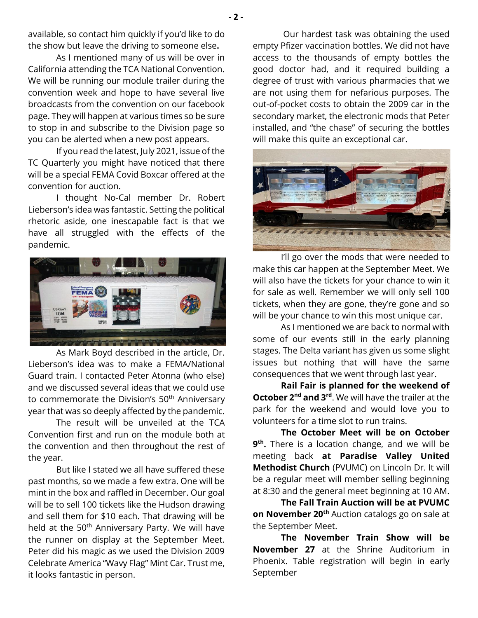**- 2 -**

available, so contact him quickly if you'd like to do the show but leave the driving to someone else**.** 

As I mentioned many of us will be over in California attending the TCA National Convention. We will be running our module trailer during the convention week and hope to have several live broadcasts from the convention on our facebook page. They will happen at various times so be sure to stop in and subscribe to the Division page so you can be alerted when a new post appears.

If you read the latest, July 2021, issue of the TC Quarterly you might have noticed that there will be a special FEMA Covid Boxcar offered at the convention for auction.

I thought No-Cal member Dr. Robert Lieberson's idea was fantastic. Setting the political rhetoric aside, one inescapable fact is that we have all struggled with the effects of the pandemic.



As Mark Boyd described in the article, Dr. Lieberson's idea was to make a FEMA/National Guard train. I contacted Peter Atonna (who else) and we discussed several ideas that we could use to commemorate the Division's 50<sup>th</sup> Anniversary year that was so deeply affected by the pandemic.

The result will be unveiled at the TCA Convention first and run on the module both at the convention and then throughout the rest of the year.

But like I stated we all have suffered these past months, so we made a few extra. One will be mint in the box and raffled in December. Our goal will be to sell 100 tickets like the Hudson drawing and sell them for \$10 each. That drawing will be held at the 50<sup>th</sup> Anniversary Party. We will have the runner on display at the September Meet. Peter did his magic as we used the Division 2009 Celebrate America "Wavy Flag" Mint Car. Trust me, it looks fantastic in person.

Our hardest task was obtaining the used empty Pfizer vaccination bottles. We did not have access to the thousands of empty bottles the good doctor had, and it required building a degree of trust with various pharmacies that we are not using them for nefarious purposes. The out-of-pocket costs to obtain the 2009 car in the secondary market, the electronic mods that Peter installed, and "the chase" of securing the bottles will make this quite an exceptional car.



I'll go over the mods that were needed to make this car happen at the September Meet. We will also have the tickets for your chance to win it for sale as well. Remember we will only sell 100 tickets, when they are gone, they're gone and so will be your chance to win this most unique car.

As I mentioned we are back to normal with some of our events still in the early planning stages. The Delta variant has given us some slight issues but nothing that will have the same consequences that we went through last year.

**Rail Fair is planned for the weekend of October 2<sup>nd</sup> and 3<sup>rd</sup>**. We will have the trailer at the park for the weekend and would love you to volunteers for a time slot to run trains.

**The October Meet will be on October 9 th .** There is a location change, and we will be meeting back **at Paradise Valley United Methodist Church** (PVUMC) on Lincoln Dr. It will be a regular meet will member selling beginning at 8:30 and the general meet beginning at 10 AM.

**The Fall Train Auction will be at PVUMC on November 20th** Auction catalogs go on sale at the September Meet.

**The November Train Show will be November 27** at the Shrine Auditorium in Phoenix. Table registration will begin in early September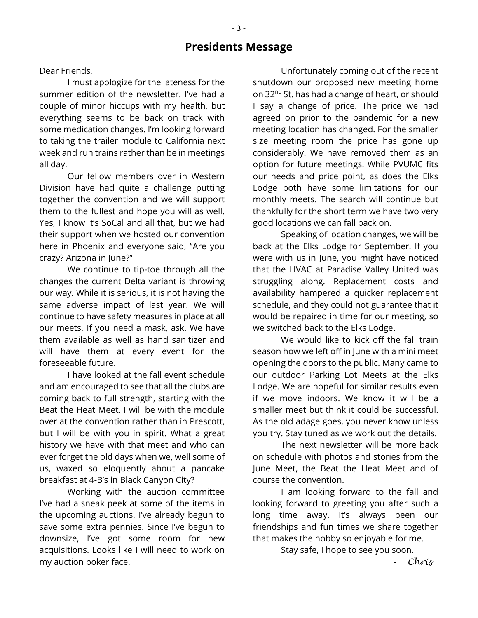## **Presidents Message**

Dear Friends,

I must apologize for the lateness for the summer edition of the newsletter. I've had a couple of minor hiccups with my health, but everything seems to be back on track with some medication changes. I'm looking forward to taking the trailer module to California next week and run trains rather than be in meetings all day.

Our fellow members over in Western Division have had quite a challenge putting together the convention and we will support them to the fullest and hope you will as well. Yes, I know it's SoCal and all that, but we had their support when we hosted our convention here in Phoenix and everyone said, "Are you crazy? Arizona in June?"

We continue to tip-toe through all the changes the current Delta variant is throwing our way. While it is serious, it is not having the same adverse impact of last year. We will continue to have safety measures in place at all our meets. If you need a mask, ask. We have them available as well as hand sanitizer and will have them at every event for the foreseeable future.

I have looked at the fall event schedule and am encouraged to see that all the clubs are coming back to full strength, starting with the Beat the Heat Meet. I will be with the module over at the convention rather than in Prescott, but I will be with you in spirit. What a great history we have with that meet and who can ever forget the old days when we, well some of us, waxed so eloquently about a pancake breakfast at 4-B's in Black Canyon City?

Working with the auction committee I've had a sneak peek at some of the items in the upcoming auctions. I've already begun to save some extra pennies. Since I've begun to downsize, I've got some room for new acquisitions. Looks like I will need to work on my auction poker face.

Unfortunately coming out of the recent shutdown our proposed new meeting home on 32<sup>nd</sup> St. has had a change of heart, or should I say a change of price. The price we had agreed on prior to the pandemic for a new meeting location has changed. For the smaller size meeting room the price has gone up considerably. We have removed them as an option for future meetings. While PVUMC fits our needs and price point, as does the Elks Lodge both have some limitations for our monthly meets. The search will continue but thankfully for the short term we have two very good locations we can fall back on.

Speaking of location changes, we will be back at the Elks Lodge for September. If you were with us in June, you might have noticed that the HVAC at Paradise Valley United was struggling along. Replacement costs and availability hampered a quicker replacement schedule, and they could not guarantee that it would be repaired in time for our meeting, so we switched back to the Elks Lodge.

We would like to kick off the fall train season how we left off in June with a mini meet opening the doors to the public. Many came to our outdoor Parking Lot Meets at the Elks Lodge. We are hopeful for similar results even if we move indoors. We know it will be a smaller meet but think it could be successful. As the old adage goes, you never know unless you try. Stay tuned as we work out the details.

The next newsletter will be more back on schedule with photos and stories from the June Meet, the Beat the Heat Meet and of course the convention.

I am looking forward to the fall and looking forward to greeting you after such a long time away. It's always been our friendships and fun times we share together that makes the hobby so enjoyable for me.

Stay safe, I hope to see you soon.

- *Chris*